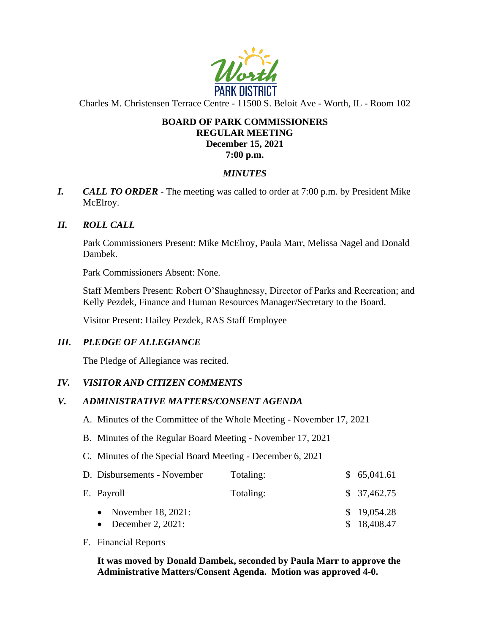

Charles M. Christensen Terrace Centre - 11500 S. Beloit Ave - Worth, IL - Room 102

### **BOARD OF PARK COMMISSIONERS REGULAR MEETING December 15, 2021 7:00 p.m.**

# *MINUTES*

*I. CALL TO ORDER* - The meeting was called to order at 7:00 p.m. by President Mike McElroy.

# *II. ROLL CALL*

Park Commissioners Present: Mike McElroy, Paula Marr, Melissa Nagel and Donald Dambek.

Park Commissioners Absent: None.

Staff Members Present: Robert O'Shaughnessy, Director of Parks and Recreation; and Kelly Pezdek, Finance and Human Resources Manager/Secretary to the Board.

Visitor Present: Hailey Pezdek, RAS Staff Employee

#### *III. PLEDGE OF ALLEGIANCE*

The Pledge of Allegiance was recited.

#### *IV. VISITOR AND CITIZEN COMMENTS*

#### *V. ADMINISTRATIVE MATTERS/CONSENT AGENDA*

- A. Minutes of the Committee of the Whole Meeting November 17, 2021
- B. Minutes of the Regular Board Meeting November 17, 2021
- C. Minutes of the Special Board Meeting December 6, 2021

| D. Disbursements - November                    | Totaling: | \$65,041.61                |
|------------------------------------------------|-----------|----------------------------|
| E. Payroll                                     | Totaling: | \$37,462.75                |
| • November $18, 2021$ :<br>• December 2, 2021: |           | \$19,054.28<br>\$18,408.47 |

F. Financial Reports

**It was moved by Donald Dambek, seconded by Paula Marr to approve the Administrative Matters/Consent Agenda. Motion was approved 4-0.**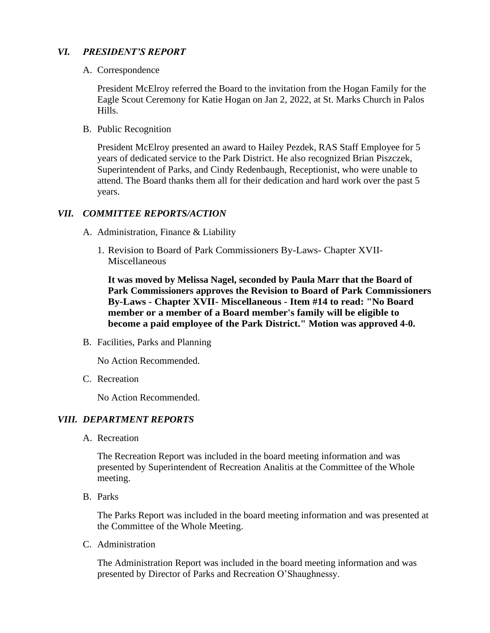# *VI. PRESIDENT'S REPORT*

A. Correspondence

President McElroy referred the Board to the invitation from the Hogan Family for the Eagle Scout Ceremony for Katie Hogan on Jan 2, 2022, at St. Marks Church in Palos Hills.

B. Public Recognition

President McElroy presented an award to Hailey Pezdek, RAS Staff Employee for 5 years of dedicated service to the Park District. He also recognized Brian Piszczek, Superintendent of Parks, and Cindy Redenbaugh, Receptionist, who were unable to attend. The Board thanks them all for their dedication and hard work over the past 5 years.

# *VII. COMMITTEE REPORTS/ACTION*

- A. Administration, Finance & Liability
	- 1. Revision to Board of Park Commissioners By-Laws- Chapter XVII-Miscellaneous

**It was moved by Melissa Nagel, seconded by Paula Marr that the Board of Park Commissioners approves the Revision to Board of Park Commissioners By-Laws - Chapter XVII- Miscellaneous - Item #14 to read: "No Board member or a member of a Board member's family will be eligible to become a paid employee of the Park District." Motion was approved 4-0.** 

B. Facilities, Parks and Planning

No Action Recommended.

C. Recreation

No Action Recommended.

# *VIII. DEPARTMENT REPORTS*

A. Recreation

The Recreation Report was included in the board meeting information and was presented by Superintendent of Recreation Analitis at the Committee of the Whole meeting.

B. Parks

The Parks Report was included in the board meeting information and was presented at the Committee of the Whole Meeting.

C. Administration

The Administration Report was included in the board meeting information and was presented by Director of Parks and Recreation O'Shaughnessy.